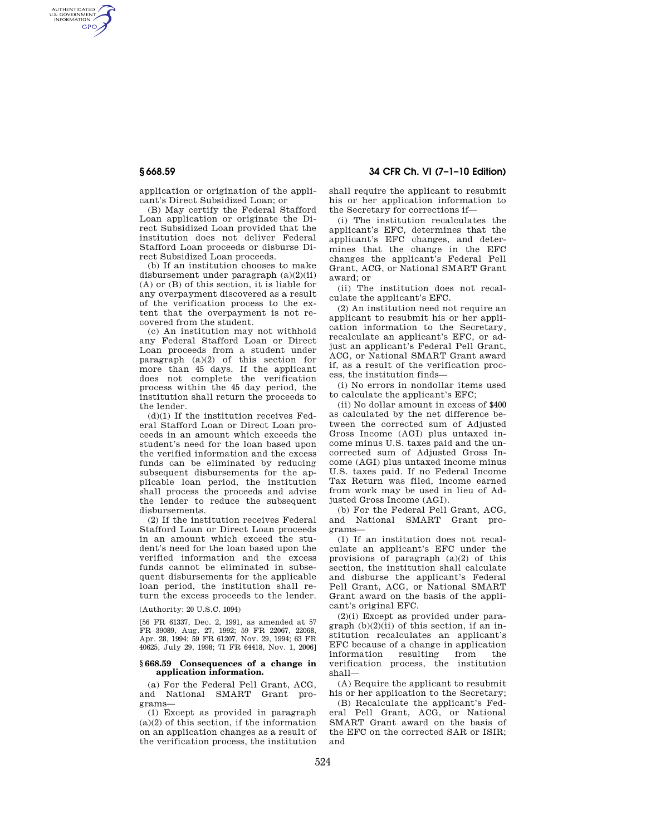AUTHENTICATED<br>U.S. GOVERNMENT<br>INFORMATION **GPO** 

**§ 668.59 34 CFR Ch. VI (7–1–10 Edition)** 

application or origination of the applicant's Direct Subsidized Loan; or

(B) May certify the Federal Stafford Loan application or originate the Direct Subsidized Loan provided that the institution does not deliver Federal Stafford Loan proceeds or disburse Direct Subsidized Loan proceeds.

(b) If an institution chooses to make disbursement under paragraph (a)(2)(ii) (A) or (B) of this section, it is liable for any overpayment discovered as a result of the verification process to the extent that the overpayment is not recovered from the student.

(c) An institution may not withhold any Federal Stafford Loan or Direct Loan proceeds from a student under paragraph (a)(2) of this section for more than 45 days. If the applicant does not complete the verification process within the 45 day period, the institution shall return the proceeds to the lender.

(d)(1) If the institution receives Federal Stafford Loan or Direct Loan proceeds in an amount which exceeds the student's need for the loan based upon the verified information and the excess funds can be eliminated by reducing subsequent disbursements for the applicable loan period, the institution shall process the proceeds and advise the lender to reduce the subsequent disbursements.

(2) If the institution receives Federal Stafford Loan or Direct Loan proceeds in an amount which exceed the student's need for the loan based upon the verified information and the excess funds cannot be eliminated in subsequent disbursements for the applicable loan period, the institution shall return the excess proceeds to the lender.

(Authority: 20 U.S.C. 1094)

[56 FR 61337, Dec. 2, 1991, as amended at 57 FR 39089, Aug. 27, 1992; 59 FR 22067, 22068, Apr. 28, 1994; 59 FR 61207, Nov. 29, 1994; 63 FR 40625, July 29, 1998; 71 FR 64418, Nov. 1, 2006]

## **§ 668.59 Consequences of a change in application information.**

(a) For the Federal Pell Grant, ACG, and National SMART Grant programs—

(1) Except as provided in paragraph (a)(2) of this section, if the information on an application changes as a result of the verification process, the institution shall require the applicant to resubmit his or her application information to the Secretary for corrections if—

(i) The institution recalculates the applicant's EFC, determines that the applicant's EFC changes, and determines that the change in the EFC changes the applicant's Federal Pell Grant, ACG, or National SMART Grant award; or

(ii) The institution does not recalculate the applicant's EFC.

(2) An institution need not require an applicant to resubmit his or her application information to the Secretary, recalculate an applicant's EFC, or adjust an applicant's Federal Pell Grant, ACG, or National SMART Grant award if, as a result of the verification process, the institution finds—

(i) No errors in nondollar items used to calculate the applicant's EFC;

(ii) No dollar amount in excess of \$400 as calculated by the net difference between the corrected sum of Adjusted Gross Income (AGI) plus untaxed income minus U.S. taxes paid and the uncorrected sum of Adjusted Gross Income (AGI) plus untaxed income minus U.S. taxes paid. If no Federal Income Tax Return was filed, income earned from work may be used in lieu of Adjusted Gross Income (AGI).

(b) For the Federal Pell Grant, ACG, and National SMART Grant programs—

(1) If an institution does not recalculate an applicant's EFC under the provisions of paragraph  $(a)(2)$  of this section, the institution shall calculate and disburse the applicant's Federal Pell Grant, ACG, or National SMART Grant award on the basis of the applicant's original EFC.

(2)(i) Except as provided under para $graph (b)(2)(ii)$  of this section, if an institution recalculates an applicant's EFC because of a change in application information resulting from verification process, the institution shall—

(A) Require the applicant to resubmit his or her application to the Secretary;

(B) Recalculate the applicant's Federal Pell Grant, ACG, or National SMART Grant award on the basis of the EFC on the corrected SAR or ISIR; and